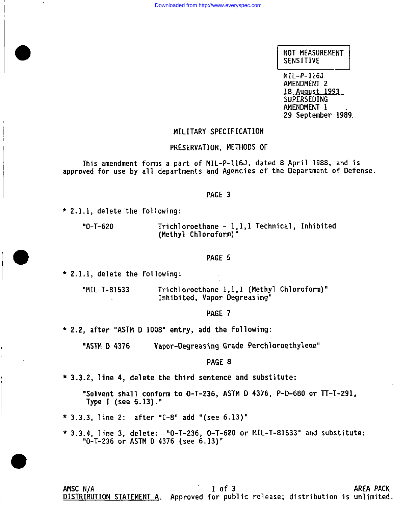**NOT MEASUREMENT** SENSITIVE

**18 Auqust 1993 MIL-P-110J**<br>\*\*\*\*\*\*\*\*\*\*\*\*\*\*\* **AMENOMENT 1** 18 August 1993<br>SUPERSEDING AMENDMENT 1 29 September 1989.

## **MILITARY SPECIFICATION**

### **forms a part of MIL-P-116J, dated 8 April 1988, and is departments departments dependent in the Department of Present in the Department of Department in the Department of Department in the Department of Department in the Department of Department in the Department of Depar**

This amendment forms a part of MIL-P-116J, dated 8 April 1988, and is approved for use by all departments and Agencies of the Department of Defense.

### PAGE<sub>3</sub>

**"0-T-620 Trichloroethane - 1,1,1 Technical, Inhibited (Methyl Chloroform)"**

 $"0 - T - 620$ 

Trichloroethane - 1,1,1 Technical, Inhibited **(Methyl Chloroform)**"

## PAGE 5

**"MIL-T-81533 Trichloroethane 1,1,1 (Methyl Chloroform)" Inhibited, Vapor Oegreasing"**

Trichloroethane 1,1,1 (Methyl Chloroform)"<br>Inhibited, Vapor Degreasing" "MIL-T-81533

# ● **2.2, after "ASTM O 1008" entry, add the following:**

**\*** 2.2, after "ASTM D 1008" entry, add the following:

Vapor-Degreasing Grade Perchloroethylene" "ASTM D 4376

● **3.3.2, line 4, delete the third sentence and substitute:**

**"Solvent shal1 conform to O-T-236, ASTM D 4376, P-D-680 or TT-T-291, Type I (see 6.13). "**

● **3.3.3, line 2: after "C-8" add "(see 6.13)"**

**\* 3.3.4, line 3, "O-T-236 or delete: "O-T-236, o-T-620 or MIL-T-81533° and substitute: ASTM D 4376 (see 6.13)"**

\* 3.3.4, line 3, delete: "0-T-236, 0-T-620 or MIL-T-81533" and substitute: "0-T-236 or ASTM D 4376 (see 6.13)"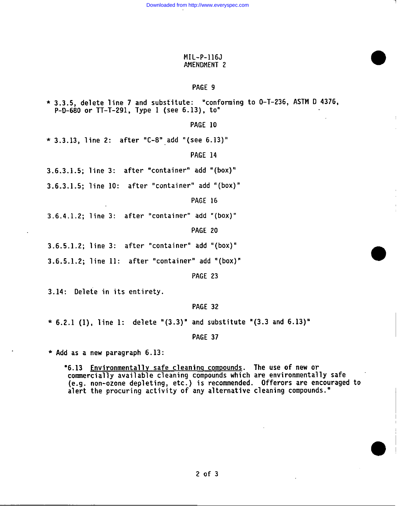## **MIL-P-116J AMENDMENT 2**

# **PAGE 9**

● **3.3.5, delete line 7 and substitute: "conforming to O-T-236, ASTM O 4376, P-D-680 or TT-T-291, Type** I (see **6.13), to"**

**PAGE 10**

**\* 3.3.13, line 2: after "C-8" ,add "(see 6.13)"**

**PAGE 14**

**3.6.3.1.5; line 3: after "container" add "(box)"**

**3.6.3.1.5; line 10: after "container" add "(box)"**

**PAGE 16**

**3.6.4.1.2; line 3: after "container" add "(box)"**

**PAGE 20**

**3.6.5.1.2; line 3: after "container" add "(box)"**

**3.6.5.1.2; line** 11: after "container" **add "(box)"**

**PAGE 23**

**3.14: Oelete n its entirety.**

**PAGE 32**

\* **6.2.1 (l), line** 1: **delete "(3.3)" and substitute "(3.3 and 6.13)"**

**PAGE 37**

\* **Add as a new paragraph 6.13:**

**'6.13 Environmentally safe cleanin~ comDounds. The use of new or commercial1y avai1able cleaning compounds which are environmental 1y safe (e.g. non-ozone depleting, etc. ) is reconnnended. Offerors are encouraged to alert the procuring activity of any alternative cleaning compounds. "**